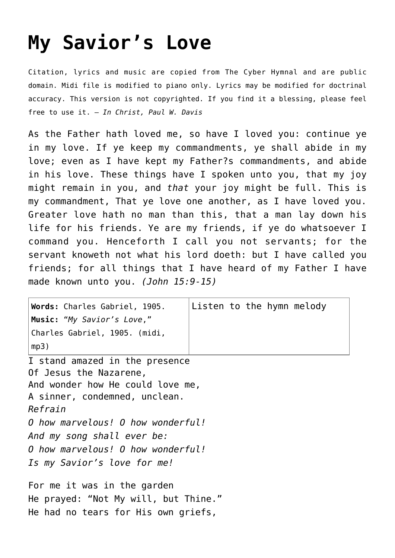## **[My Savior's Love](http://reproachofmen.org/hymns-and-music/my-saviors-love/)**

Citation, lyrics and music are copied from [The Cyber Hymnal](http://www.hymntime.com/tch/index.htm) and are public domain. Midi file is modified to piano only. Lyrics may be modified for doctrinal accuracy. This version is not copyrighted. If you find it a blessing, please feel free to use it. — *In Christ, Paul W. Davis*

As the Father hath loved me, so have I loved you: continue ye in my love. If ye keep my commandments, ye shall abide in my love; even as I have kept my Father?s commandments, and abide in his love. These things have I spoken unto you, that my joy might remain in you, and *that* your joy might be full. This is my commandment, That ye love one another, as I have loved you. Greater love hath no man than this, that a man lay down his life for his friends. Ye are my friends, if ye do whatsoever I command you. Henceforth I call you not servants; for the servant knoweth not what his lord doeth: but I have called you friends; for all things that I have heard of my Father I have made known unto you. *(John 15:9-15)*

| Words: Charles Gabriel, 1905.<br>Music: "My Savior's Love,"<br>Charles Gabriel, 1905. (midi,<br>mp3)                                     | Listen to the hymn melody |  |  |  |  |
|------------------------------------------------------------------------------------------------------------------------------------------|---------------------------|--|--|--|--|
| I stand amazed in the presence<br>Of Jesus the Nazarene,<br>And wonder how He could love me,<br>A sinner, condemned, unclean.<br>Refrain |                           |  |  |  |  |
| 0 how marvelous! 0 how wonderful!<br>And my song shall ever be:<br>O how marvelous! O how wonderful!<br>Is my Savior's love for me!      |                           |  |  |  |  |
| For me it was in the garden                                                                                                              |                           |  |  |  |  |

He prayed: "Not My will, but Thine." He had no tears for His own griefs,